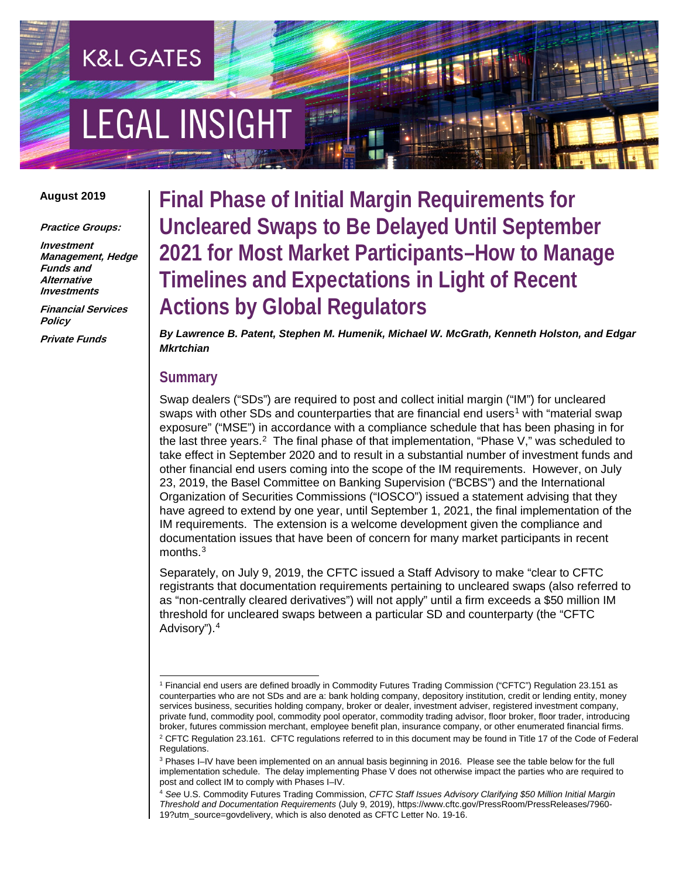# **EGAL INSIGHT**

**K&L GATES** 

#### **August 2019**

**Practice Groups:**

**Investment Management, Hedge Funds and Alternative Investments**

**Financial Services Policy**

**Private Funds**

**Final Phase of Initial Margin Requirements for Uncleared Swaps to Be Delayed Until September 2021 for Most Market Participants–How to Manage Timelines and Expectations in Light of Recent Actions by Global Regulators**

*By Lawrence B. Patent, Stephen M. Humenik, Michael W. McGrath, Kenneth Holston, and Edgar Mkrtchian*

#### **Summary**

Swap dealers ("SDs") are required to post and collect initial margin ("IM") for uncleared swaps with other SDs and counterparties that are financial end users<sup>[1](#page-0-0)</sup> with "material swap exposure" ("MSE") in accordance with a compliance schedule that has been phasing in for the last three years.<sup>2</sup> The final phase of that implementation, "Phase V," was scheduled to take effect in September 2020 and to result in a substantial number of investment funds and other financial end users coming into the scope of the IM requirements. However, on July 23, 2019, the Basel Committee on Banking Supervision ("BCBS") and the International Organization of Securities Commissions ("IOSCO") issued a statement advising that they have agreed to extend by one year, until September 1, 2021, the final implementation of the IM requirements. The extension is a welcome development given the compliance and documentation issues that have been of concern for many market participants in recent months.[3](#page-0-2)

Separately, on July 9, 2019, the CFTC issued a Staff Advisory to make "clear to CFTC registrants that documentation requirements pertaining to uncleared swaps (also referred to as "non-centrally cleared derivatives") will not apply" until a firm exceeds a \$50 million IM threshold for uncleared swaps between a particular SD and counterparty (the "CFTC Advisory").[4](#page-0-3)

<span id="page-0-0"></span> <sup>1</sup> Financial end users are defined broadly in Commodity Futures Trading Commission ("CFTC") Regulation 23.151 as counterparties who are not SDs and are a: bank holding company, depository institution, credit or lending entity, money services business, securities holding company, broker or dealer, investment adviser, registered investment company, private fund, commodity pool, commodity pool operator, commodity trading advisor, floor broker, floor trader, introducing broker, futures commission merchant, employee benefit plan, insurance company, or other enumerated financial firms. <sup>2</sup> CFTC Regulation 23.161. CFTC regulations referred to in this document may be found in Title 17 of the Code of Federal Regulations.

<span id="page-0-2"></span><span id="page-0-1"></span><sup>3</sup> Phases I–IV have been implemented on an annual basis beginning in 2016. Please see the table below for the full implementation schedule. The delay implementing Phase V does not otherwise impact the parties who are required to post and collect IM to comply with Phases I–IV.

<span id="page-0-3"></span><sup>4</sup> *See* U.S. Commodity Futures Trading Commission, *CFTC Staff Issues Advisory Clarifying \$50 Million Initial Margin Threshold and Documentation Requirements* (July 9, 2019), https://www.cftc.gov/PressRoom/PressReleases/7960- 19?utm\_source=govdelivery, which is also denoted as CFTC Letter No. 19-16.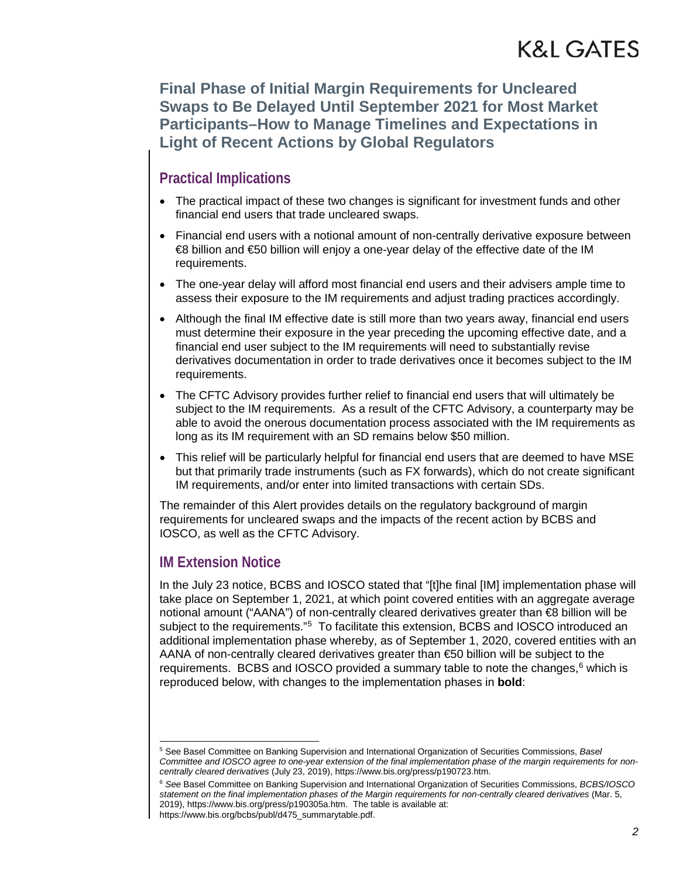**Final Phase of Initial Margin Requirements for Uncleared Swaps to Be Delayed Until September 2021 for Most Market Participants–How to Manage Timelines and Expectations in Light of Recent Actions by Global Regulators**

### **Practical Implications**

- The practical impact of these two changes is significant for investment funds and other financial end users that trade uncleared swaps.
- Financial end users with a notional amount of non-centrally derivative exposure between €8 billion and €50 billion will enjoy a one-year delay of the effective date of the IM requirements.
- The one-year delay will afford most financial end users and their advisers ample time to assess their exposure to the IM requirements and adjust trading practices accordingly.
- Although the final IM effective date is still more than two vears away, financial end users must determine their exposure in the year preceding the upcoming effective date, and a financial end user subject to the IM requirements will need to substantially revise derivatives documentation in order to trade derivatives once it becomes subject to the IM requirements.
- The CFTC Advisory provides further relief to financial end users that will ultimately be subject to the IM requirements. As a result of the CFTC Advisory, a counterparty may be able to avoid the onerous documentation process associated with the IM requirements as long as its IM requirement with an SD remains below \$50 million.
- This relief will be particularly helpful for financial end users that are deemed to have MSE but that primarily trade instruments (such as FX forwards), which do not create significant IM requirements, and/or enter into limited transactions with certain SDs.

The remainder of this Alert provides details on the regulatory background of margin requirements for uncleared swaps and the impacts of the recent action by BCBS and IOSCO, as well as the CFTC Advisory.

### **IM Extension Notice**

In the July 23 notice, BCBS and IOSCO stated that "[t]he final [IM] implementation phase will take place on September 1, 2021, at which point covered entities with an aggregate average notional amount ("AANA") of non-centrally cleared derivatives greater than <del>€</del>8 billion will be subject to the requirements."<sup>[5](#page-1-0)</sup> To facilitate this extension, BCBS and IOSCO introduced an additional implementation phase whereby, as of September 1, 2020, covered entities with an AANA of non-centrally cleared derivatives greater than €50 billion will be subject to the requirements. BCBS and IOSCO provided a summary table to note the changes, $6$  which is reproduced below, with changes to the implementation phases in **bold**:

<span id="page-1-0"></span> <sup>5</sup> See Basel Committee on Banking Supervision and International Organization of Securities Commissions, *Basel Committee and IOSCO agree to one-year extension of the final implementation phase of the margin requirements for noncentrally cleared derivatives* (July 23, 2019), https://www.bis.org/press/p190723.htm.

<span id="page-1-1"></span><sup>6</sup> *See* Basel Committee on Banking Supervision and International Organization of Securities Commissions, *BCBS/IOSCO statement on the final implementation phases of the Margin requirements for non-centrally cleared derivatives* (Mar. 5, 2019), https://www.bis.org/press/p190305a.htm. The table is available at:

https://www.bis.org/bcbs/publ/d475\_summarytable.pdf.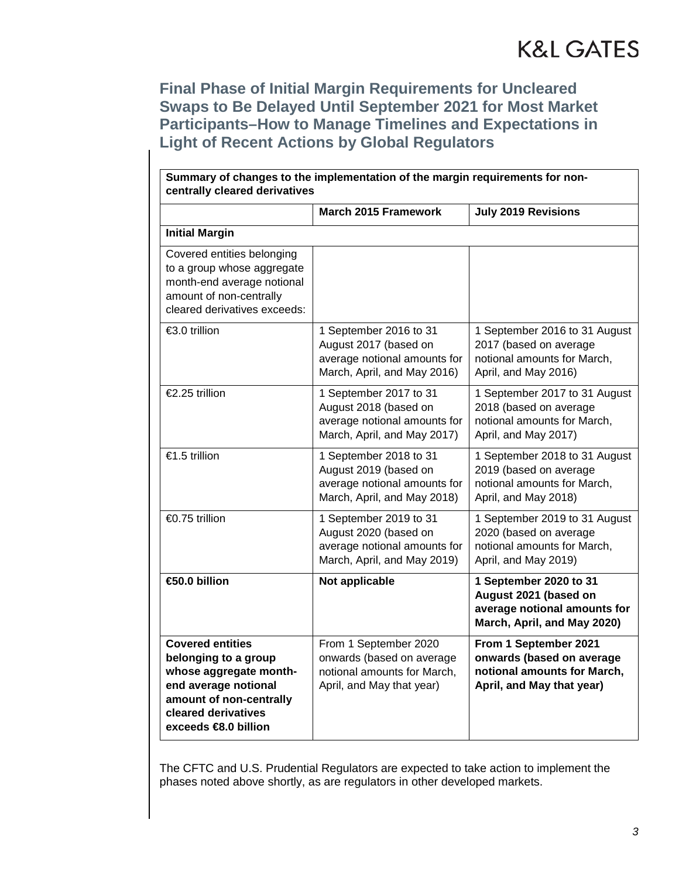**Final Phase of Initial Margin Requirements for Uncleared Swaps to Be Delayed Until September 2021 for Most Market Participants–How to Manage Timelines and Expectations in Light of Recent Actions by Global Regulators**

| Summary of changes to the implementation of the margin requirements for non-<br>centrally cleared derivatives                                                                         |                                                                                                                |                                                                                                                |
|---------------------------------------------------------------------------------------------------------------------------------------------------------------------------------------|----------------------------------------------------------------------------------------------------------------|----------------------------------------------------------------------------------------------------------------|
|                                                                                                                                                                                       | <b>March 2015 Framework</b>                                                                                    | July 2019 Revisions                                                                                            |
| <b>Initial Margin</b>                                                                                                                                                                 |                                                                                                                |                                                                                                                |
| Covered entities belonging<br>to a group whose aggregate<br>month-end average notional<br>amount of non-centrally<br>cleared derivatives exceeds:                                     |                                                                                                                |                                                                                                                |
| €3.0 trillion                                                                                                                                                                         | 1 September 2016 to 31<br>August 2017 (based on<br>average notional amounts for<br>March, April, and May 2016) | 1 September 2016 to 31 August<br>2017 (based on average<br>notional amounts for March,<br>April, and May 2016) |
| €2.25 trillion                                                                                                                                                                        | 1 September 2017 to 31<br>August 2018 (based on<br>average notional amounts for<br>March, April, and May 2017) | 1 September 2017 to 31 August<br>2018 (based on average<br>notional amounts for March,<br>April, and May 2017) |
| €1.5 trillion                                                                                                                                                                         | 1 September 2018 to 31<br>August 2019 (based on<br>average notional amounts for<br>March, April, and May 2018) | 1 September 2018 to 31 August<br>2019 (based on average<br>notional amounts for March,<br>April, and May 2018) |
| €0.75 trillion                                                                                                                                                                        | 1 September 2019 to 31<br>August 2020 (based on<br>average notional amounts for<br>March, April, and May 2019) | 1 September 2019 to 31 August<br>2020 (based on average<br>notional amounts for March,<br>April, and May 2019) |
| €50.0 billion                                                                                                                                                                         | Not applicable                                                                                                 | 1 September 2020 to 31<br>August 2021 (based on<br>average notional amounts for<br>March, April, and May 2020) |
| <b>Covered entities</b><br>belonging to a group<br>whose aggregate month-<br>end average notional<br>amount of non-centrally<br>cleared derivatives<br>exceeds $\bigoplus$ .0 billion | From 1 September 2020<br>onwards (based on average<br>notional amounts for March,<br>April, and May that year) | From 1 September 2021<br>onwards (based on average<br>notional amounts for March,<br>April, and May that year) |

The CFTC and U.S. Prudential Regulators are expected to take action to implement the phases noted above shortly, as are regulators in other developed markets.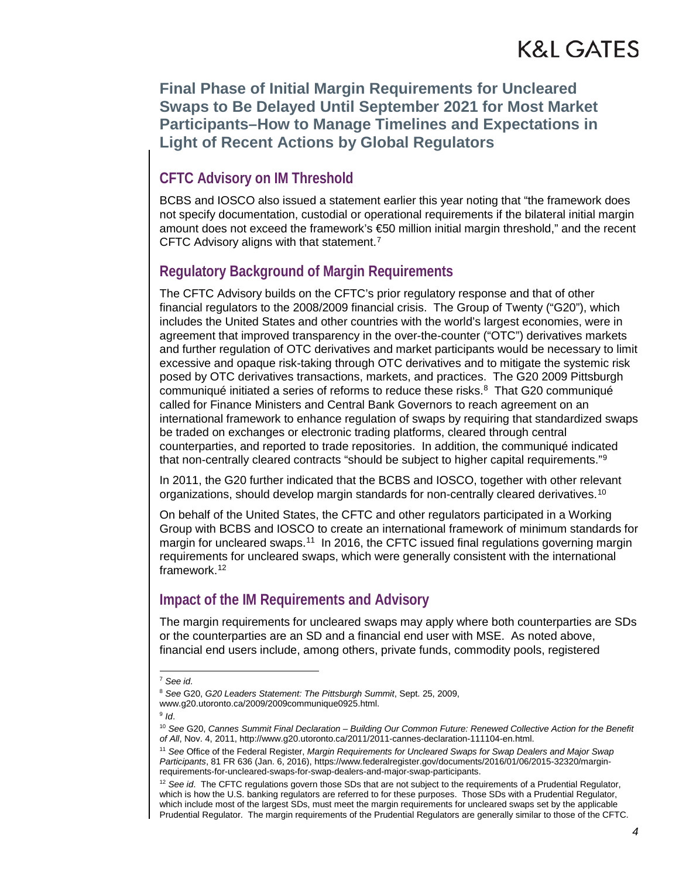**Final Phase of Initial Margin Requirements for Uncleared Swaps to Be Delayed Until September 2021 for Most Market Participants–How to Manage Timelines and Expectations in Light of Recent Actions by Global Regulators**

### **CFTC Advisory on IM Threshold**

BCBS and IOSCO also issued a statement earlier this year noting that "the framework does not specify documentation, custodial or operational requirements if the bilateral initial margin amount does not exceed the framework's €50 million initial margin threshold," and the recent CFTC Advisory aligns with that statement.[7](#page-3-0)

### **Regulatory Background of Margin Requirements**

The CFTC Advisory builds on the CFTC's prior regulatory response and that of other financial regulators to the 2008/2009 financial crisis. The Group of Twenty ("G20"), which includes the United States and other countries with the world's largest economies, were in agreement that improved transparency in the over-the-counter ("OTC") derivatives markets and further regulation of OTC derivatives and market participants would be necessary to limit excessive and opaque risk-taking through OTC derivatives and to mitigate the systemic risk posed by OTC derivatives transactions, markets, and practices. The G20 2009 Pittsburgh communiqué initiated a series of reforms to reduce these risks. $8$  That G20 communiqué called for Finance Ministers and Central Bank Governors to reach agreement on an international framework to enhance regulation of swaps by requiring that standardized swaps be traded on exchanges or electronic trading platforms, cleared through central counterparties, and reported to trade repositories. In addition, the communiqué indicated that non-centrally cleared contracts "should be subject to higher capital requirements."<sup>[9](#page-3-2)</sup>

In 2011, the G20 further indicated that the BCBS and IOSCO, together with other relevant organizations, should develop margin standards for non-centrally cleared derivatives.<sup>[10](#page-3-3)</sup>

On behalf of the United States, the CFTC and other regulators participated in a Working Group with BCBS and IOSCO to create an international framework of minimum standards for margin for uncleared swaps.<sup>[11](#page-3-4)</sup> In 2016, the CFTC issued final regulations governing margin requirements for uncleared swaps, which were generally consistent with the international framework[.12](#page-3-5)

### **Impact of the IM Requirements and Advisory**

The margin requirements for uncleared swaps may apply where both counterparties are SDs or the counterparties are an SD and a financial end user with MSE. As noted above, financial end users include, among others, private funds, commodity pools, registered

<sup>9</sup> *Id*.

<span id="page-3-0"></span> <sup>7</sup> *See id*.

<span id="page-3-1"></span><sup>8</sup> *See* G20, *G20 Leaders Statement: The Pittsburgh Summit*, Sept. 25, 2009, www.g20.utoronto.ca/2009/2009communique0925.html.

<span id="page-3-3"></span><span id="page-3-2"></span><sup>10</sup> *See* G20, *Cannes Summit Final Declaration – Building Our Common Future: Renewed Collective Action for the Benefit of All*, Nov. 4, 2011, http://www.g20.utoronto.ca/2011/2011-cannes-declaration-111104-en.html.

<span id="page-3-4"></span><sup>11</sup> *See* Office of the Federal Register, *Margin Requirements for Uncleared Swaps for Swap Dealers and Major Swap Participants*, 81 FR 636 (Jan. 6, 2016), https://www.federalregister.gov/documents/2016/01/06/2015-32320/marginrequirements-for-uncleared-swaps-for-swap-dealers-and-major-swap-participants.

<span id="page-3-5"></span><sup>&</sup>lt;sup>12</sup> See id. The CFTC regulations govern those SDs that are not subject to the requirements of a Prudential Regulator, which is how the U.S. banking regulators are referred to for these purposes. Those SDs with a Prudential Regulator, which include most of the largest SDs, must meet the margin requirements for uncleared swaps set by the applicable Prudential Regulator. The margin requirements of the Prudential Regulators are generally similar to those of the CFTC.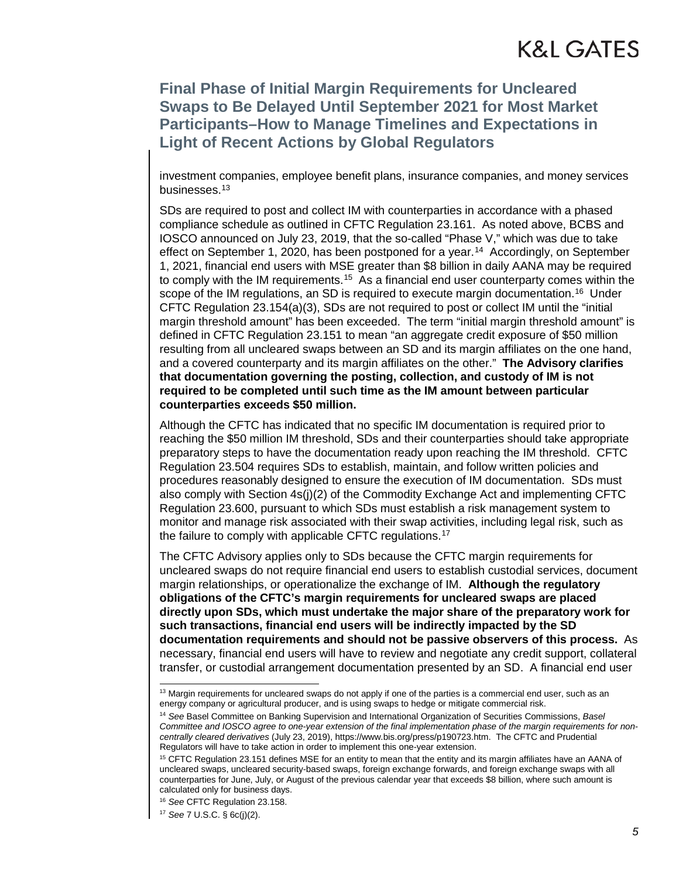### **Final Phase of Initial Margin Requirements for Uncleared Swaps to Be Delayed Until September 2021 for Most Market Participants–How to Manage Timelines and Expectations in Light of Recent Actions by Global Regulators**

investment companies, employee benefit plans, insurance companies, and money services businesses.[13](#page-4-0)

SDs are required to post and collect IM with counterparties in accordance with a phased compliance schedule as outlined in CFTC Regulation 23.161. As noted above, BCBS and IOSCO announced on July 23, 2019, that the so-called "Phase V," which was due to take effect on September 1, 2020, has been postponed for a year.<sup>14</sup> Accordingly, on September 1, 2021, financial end users with MSE greater than \$8 billion in daily AANA may be required to comply with the IM requirements.<sup>15</sup> As a financial end user counterparty comes within the scope of the IM regulations, an SD is required to execute margin documentation.<sup>[16](#page-4-3)</sup> Under CFTC Regulation 23.154(a)(3), SDs are not required to post or collect IM until the "initial margin threshold amount" has been exceeded. The term "initial margin threshold amount" is defined in CFTC Regulation 23.151 to mean "an aggregate credit exposure of \$50 million resulting from all uncleared swaps between an SD and its margin affiliates on the one hand, and a covered counterparty and its margin affiliates on the other." **The Advisory clarifies that documentation governing the posting, collection, and custody of IM is not required to be completed until such time as the IM amount between particular counterparties exceeds \$50 million.**

Although the CFTC has indicated that no specific IM documentation is required prior to reaching the \$50 million IM threshold, SDs and their counterparties should take appropriate preparatory steps to have the documentation ready upon reaching the IM threshold. CFTC Regulation 23.504 requires SDs to establish, maintain, and follow written policies and procedures reasonably designed to ensure the execution of IM documentation. SDs must also comply with Section 4s(j)(2) of the Commodity Exchange Act and implementing CFTC Regulation 23.600, pursuant to which SDs must establish a risk management system to monitor and manage risk associated with their swap activities, including legal risk, such as the failure to comply with applicable CFTC regulations.<sup>17</sup>

The CFTC Advisory applies only to SDs because the CFTC margin requirements for uncleared swaps do not require financial end users to establish custodial services, document margin relationships, or operationalize the exchange of IM. **Although the regulatory obligations of the CFTC's margin requirements for uncleared swaps are placed directly upon SDs, which must undertake the major share of the preparatory work for such transactions, financial end users will be indirectly impacted by the SD documentation requirements and should not be passive observers of this process.** As necessary, financial end users will have to review and negotiate any credit support, collateral transfer, or custodial arrangement documentation presented by an SD. A financial end user

<sup>16</sup> *See* CFTC Regulation 23.158.

 $13$  Margin requirements for uncleared swaps do not apply if one of the parties is a commercial end user, such as an energy company or agricultural producer, and is using swaps to hedge or mitigate commercial risk.

<span id="page-4-1"></span><span id="page-4-0"></span><sup>14</sup> *See* Basel Committee on Banking Supervision and International Organization of Securities Commissions, *Basel Committee and IOSCO agree to one-year extension of the final implementation phase of the margin requirements for noncentrally cleared derivatives* (July 23, 2019), https://www.bis.org/press/p190723.htm. The CFTC and Prudential Regulators will have to take action in order to implement this one-year extension.

<span id="page-4-2"></span><sup>&</sup>lt;sup>15</sup> CFTC Regulation 23.151 defines MSE for an entity to mean that the entity and its margin affiliates have an AANA of uncleared swaps, uncleared security-based swaps, foreign exchange forwards, and foreign exchange swaps with all counterparties for June, July, or August of the previous calendar year that exceeds \$8 billion, where such amount is calculated only for business days.

<span id="page-4-4"></span><span id="page-4-3"></span><sup>17</sup> *See* 7 U.S.C. § 6c(j)(2).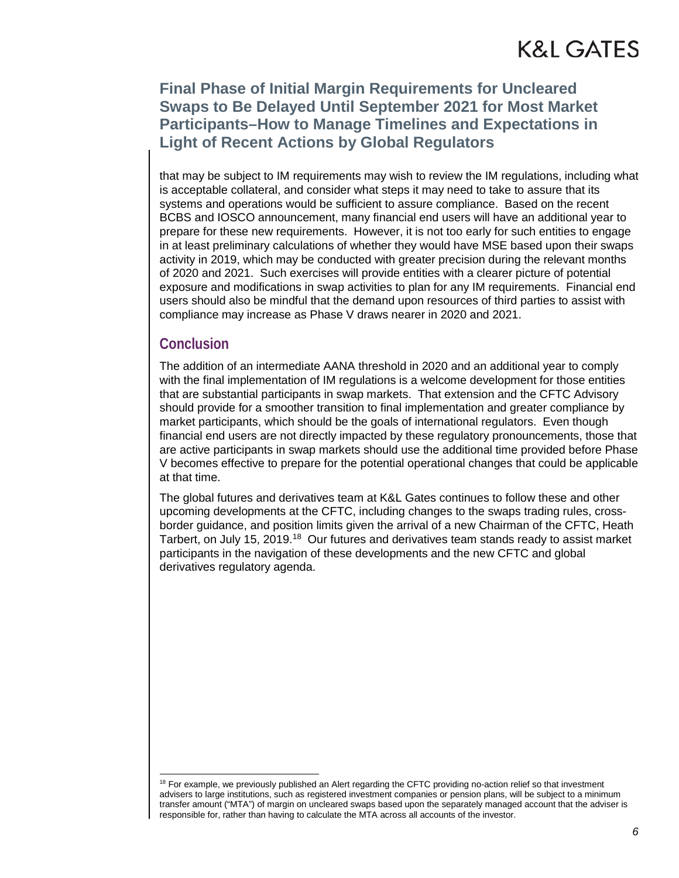### **Final Phase of Initial Margin Requirements for Uncleared Swaps to Be Delayed Until September 2021 for Most Market Participants–How to Manage Timelines and Expectations in Light of Recent Actions by Global Regulators**

that may be subject to IM requirements may wish to review the IM regulations, including what is acceptable collateral, and consider what steps it may need to take to assure that its systems and operations would be sufficient to assure compliance. Based on the recent BCBS and IOSCO announcement, many financial end users will have an additional year to prepare for these new requirements. However, it is not too early for such entities to engage in at least preliminary calculations of whether they would have MSE based upon their swaps activity in 2019, which may be conducted with greater precision during the relevant months of 2020 and 2021. Such exercises will provide entities with a clearer picture of potential exposure and modifications in swap activities to plan for any IM requirements. Financial end users should also be mindful that the demand upon resources of third parties to assist with compliance may increase as Phase V draws nearer in 2020 and 2021.

#### **Conclusion**

The addition of an intermediate AANA threshold in 2020 and an additional year to comply with the final implementation of IM regulations is a welcome development for those entities that are substantial participants in swap markets. That extension and the CFTC Advisory should provide for a smoother transition to final implementation and greater compliance by market participants, which should be the goals of international regulators. Even though financial end users are not directly impacted by these regulatory pronouncements, those that are active participants in swap markets should use the additional time provided before Phase V becomes effective to prepare for the potential operational changes that could be applicable at that time.

The global futures and derivatives team at K&L Gates continues to follow these and other upcoming developments at the CFTC, including changes to the swaps trading rules, crossborder guidance, and position limits given the arrival of a new Chairman of the CFTC, Heath Tarbert, on July 15, 2019.<sup>18</sup> Our futures and derivatives team stands ready to assist market participants in the navigation of these developments and the new CFTC and global derivatives regulatory agenda.

<span id="page-5-0"></span><sup>&</sup>lt;sup>18</sup> For example, we previously published an Alert regarding the CFTC providing no-action relief so that investment advisers to large institutions, such as registered investment companies or pension plans, will be subject to a minimum transfer amount ("MTA") of margin on uncleared swaps based upon the separately managed account that the adviser is responsible for, rather than having to calculate the MTA across all accounts of the investor.